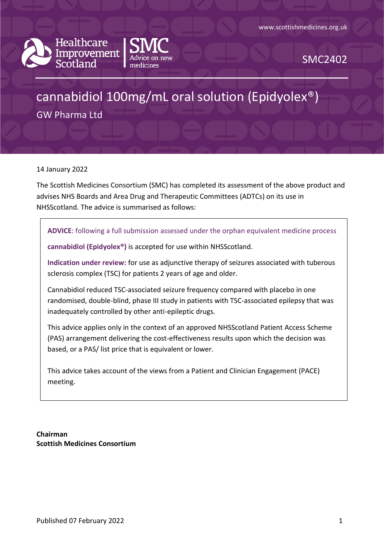



SMC2402

# cannabidiol 100mg/mL oral solution (Epidyolex®)

GW Pharma Ltd

14 January 2022

The Scottish Medicines Consortium (SMC) has completed its assessment of the above product and advises NHS Boards and Area Drug and Therapeutic Committees (ADTCs) on its use in NHSScotland. The advice is summarised as follows:

**ADVICE**: following a full submission assessed under the orphan equivalent medicine process

**cannabidiol (Epidyolex®)** is accepted for use within NHSScotland.

**Indication under review:** for use as adjunctive therapy of seizures associated with tuberous sclerosis complex (TSC) for patients 2 years of age and older.

Cannabidiol reduced TSC-associated seizure frequency compared with placebo in one randomised, double-blind, phase III study in patients with TSC-associated epilepsy that was inadequately controlled by other anti-epileptic drugs.

This advice applies only in the context of an approved NHSScotland Patient Access Scheme (PAS) arrangement delivering the cost-effectiveness results upon which the decision was based, or a PAS/ list price that is equivalent or lower.

This advice takes account of the views from a Patient and Clinician Engagement (PACE) meeting.

**Chairman Scottish Medicines Consortium**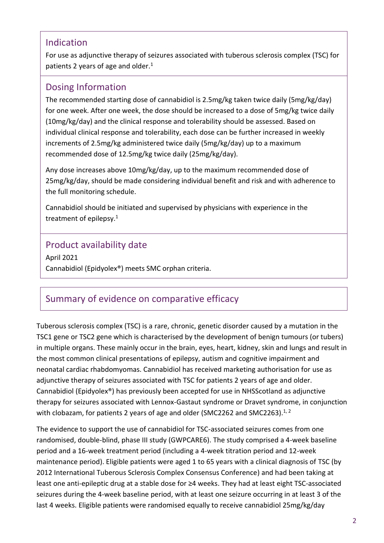### Indication

For use as adjunctive therapy of seizures associated with tuberous sclerosis complex (TSC) for patients 2 years of age and older.<sup>1</sup>

### Dosing Information

The recommended starting dose of cannabidiol is 2.5mg/kg taken twice daily (5mg/kg/day) for one week. After one week, the dose should be increased to a dose of 5mg/kg twice daily (10mg/kg/day) and the clinical response and tolerability should be assessed. Based on individual clinical response and tolerability, each dose can be further increased in weekly increments of 2.5mg/kg administered twice daily (5mg/kg/day) up to a maximum recommended dose of 12.5mg/kg twice daily (25mg/kg/day).

Any dose increases above 10mg/kg/day, up to the maximum recommended dose of 25mg/kg/day, should be made considering individual benefit and risk and with adherence to the full monitoring schedule.

Cannabidiol should be initiated and supervised by physicians with experience in the treatment of epilepsy.<sup>1</sup>

### Product availability date

April 2021 Cannabidiol (Epidyolex®) meets SMC orphan criteria.

# Summary of evidence on comparative efficacy

Tuberous sclerosis complex (TSC) is a rare, chronic, genetic disorder caused by a mutation in the TSC1 gene or TSC2 gene which is characterised by the development of benign tumours (or tubers) in multiple organs. These mainly occur in the brain, eyes, heart, kidney, skin and lungs and result in the most common clinical presentations of epilepsy, autism and cognitive impairment and neonatal cardiac rhabdomyomas. Cannabidiol has received marketing authorisation for use as adjunctive therapy of seizures associated with TSC for patients 2 years of age and older. Cannabidiol (Epidyolex®) has previously been accepted for use in NHSScotland as adjunctive therapy for seizures associated with Lennox-Gastaut syndrome or Dravet syndrome, in conjunction with clobazam, for patients 2 years of age and older (SMC2262 and SMC2263). $^{1, 2}$ 

The evidence to support the use of cannabidiol for TSC-associated seizures comes from one randomised, double-blind, phase III study (GWPCARE6). The study comprised a 4-week baseline period and a 16-week treatment period (including a 4-week titration period and 12-week maintenance period). Eligible patients were aged 1 to 65 years with a clinical diagnosis of TSC (by 2012 International Tuberous Sclerosis Complex Consensus Conference) and had been taking at least one anti-epileptic drug at a stable dose for ≥4 weeks. They had at least eight TSC-associated seizures during the 4-week baseline period, with at least one seizure occurring in at least 3 of the last 4 weeks. Eligible patients were randomised equally to receive cannabidiol 25mg/kg/day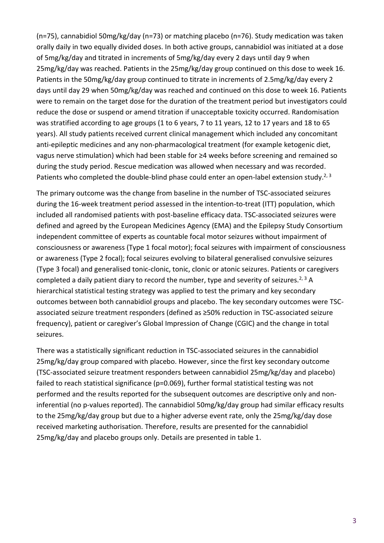(n=75), cannabidiol 50mg/kg/day (n=73) or matching placebo (n=76). Study medication was taken orally daily in two equally divided doses. In both active groups, cannabidiol was initiated at a dose of 5mg/kg/day and titrated in increments of 5mg/kg/day every 2 days until day 9 when 25mg/kg/day was reached. Patients in the 25mg/kg/day group continued on this dose to week 16. Patients in the 50mg/kg/day group continued to titrate in increments of 2.5mg/kg/day every 2 days until day 29 when 50mg/kg/day was reached and continued on this dose to week 16. Patients were to remain on the target dose for the duration of the treatment period but investigators could reduce the dose or suspend or amend titration if unacceptable toxicity occurred. Randomisation was stratified according to age groups (1 to 6 years, 7 to 11 years, 12 to 17 years and 18 to 65 years). All study patients received current clinical management which included any concomitant anti-epileptic medicines and any non-pharmacological treatment (for example ketogenic diet, vagus nerve stimulation) which had been stable for ≥4 weeks before screening and remained so during the study period. Rescue medication was allowed when necessary and was recorded. Patients who completed the double-blind phase could enter an open-label extension study.<sup>2, 3</sup>

The primary outcome was the change from baseline in the number of TSC-associated seizures during the 16-week treatment period assessed in the intention-to-treat (ITT) population, which included all randomised patients with post-baseline efficacy data. TSC-associated seizures were defined and agreed by the European Medicines Agency (EMA) and the Epilepsy Study Consortium independent committee of experts as countable focal motor seizures without impairment of consciousness or awareness (Type 1 focal motor); focal seizures with impairment of consciousness or awareness (Type 2 focal); focal seizures evolving to bilateral generalised convulsive seizures (Type 3 focal) and generalised tonic-clonic, tonic, clonic or atonic seizures. Patients or caregivers completed a daily patient diary to record the number, type and severity of seizures.<sup>2, 3</sup> A hierarchical statistical testing strategy was applied to test the primary and key secondary outcomes between both cannabidiol groups and placebo. The key secondary outcomes were TSCassociated seizure treatment responders (defined as ≥50% reduction in TSC-associated seizure frequency), patient or caregiver's Global Impression of Change (CGIC) and the change in total seizures.

There was a statistically significant reduction in TSC-associated seizures in the cannabidiol 25mg/kg/day group compared with placebo. However, since the first key secondary outcome (TSC-associated seizure treatment responders between cannabidiol 25mg/kg/day and placebo) failed to reach statistical significance (p=0.069), further formal statistical testing was not performed and the results reported for the subsequent outcomes are descriptive only and noninferential (no p-values reported). The cannabidiol 50mg/kg/day group had similar efficacy results to the 25mg/kg/day group but due to a higher adverse event rate, only the 25mg/kg/day dose received marketing authorisation. Therefore, results are presented for the cannabidiol 25mg/kg/day and placebo groups only. Details are presented in table 1.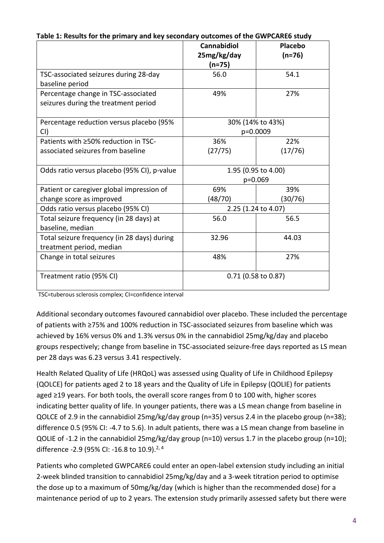|                                                   | <b>Cannabidiol</b><br>25mg/kg/day | Placebo<br>$(n=76)$ |
|---------------------------------------------------|-----------------------------------|---------------------|
|                                                   | (n=75)                            |                     |
| TSC-associated seizures during 28-day             | 56.0                              | 54.1                |
| baseline period                                   |                                   |                     |
| Percentage change in TSC-associated               | 49%                               | 27%                 |
| seizures during the treatment period              |                                   |                     |
|                                                   |                                   |                     |
| Percentage reduction versus placebo (95%          | 30% (14% to 43%)                  |                     |
| CI)                                               | p=0.0009                          |                     |
| Patients with ≥50% reduction in TSC-              | 36%                               | 22%                 |
| associated seizures from baseline                 | (27/75)                           | (17/76)             |
|                                                   |                                   |                     |
| Odds ratio versus placebo (95% CI), p-value       |                                   | 1.95 (0.95 to 4.00) |
|                                                   | p=0.069                           |                     |
| Patient or caregiver global impression of         | 69%                               | 39%                 |
| change score as improved                          | (48/70)                           | (30/76)             |
| Odds ratio versus placebo (95% CI)                | 2.25 (1.24 to 4.07)               |                     |
| Total seizure frequency (in 28 days) at           | 56.0                              | 56.5                |
| baseline, median                                  |                                   |                     |
| Total seizure frequency (in 28 days) during       | 32.96                             | 44.03               |
| treatment period, median                          |                                   |                     |
| Change in total seizures                          | 48%                               | 27%                 |
|                                                   |                                   |                     |
| $0.71$ (0.58 to 0.87)<br>Treatment ratio (95% CI) |                                   |                     |
|                                                   |                                   |                     |

**Table 1: Results for the primary and key secondary outcomes of the GWPCARE6 study**

TSC=tuberous sclerosis complex; CI=confidence interval

Additional secondary outcomes favoured cannabidiol over placebo. These included the percentage of patients with ≥75% and 100% reduction in TSC-associated seizures from baseline which was achieved by 16% versus 0% and 1.3% versus 0% in the cannabidiol 25mg/kg/day and placebo groups respectively; change from baseline in TSC-associated seizure-free days reported as LS mean per 28 days was 6.23 versus 3.41 respectively.

Health Related Quality of Life (HRQoL) was assessed using Quality of Life in Childhood Epilepsy (QOLCE) for patients aged 2 to 18 years and the Quality of Life in Epilepsy (QOLIE) for patients aged ≥19 years. For both tools, the overall score ranges from 0 to 100 with, higher scores indicating better quality of life. In younger patients, there was a LS mean change from baseline in QOLCE of 2.9 in the cannabidiol 25mg/kg/day group (n=35) versus 2.4 in the placebo group (n=38); difference 0.5 (95% CI: -4.7 to 5.6). In adult patients, there was a LS mean change from baseline in QOLIE of -1.2 in the cannabidiol 25mg/kg/day group (n=10) versus 1.7 in the placebo group (n=10); difference -2.9 (95% CI: -16.8 to 10.9).<sup>2, 4</sup>

Patients who completed GWPCARE6 could enter an open-label extension study including an initial 2-week blinded transition to cannabidiol 25mg/kg/day and a 3-week titration period to optimise the dose up to a maximum of 50mg/kg/day (which is higher than the recommended dose) for a maintenance period of up to 2 years. The extension study primarily assessed safety but there were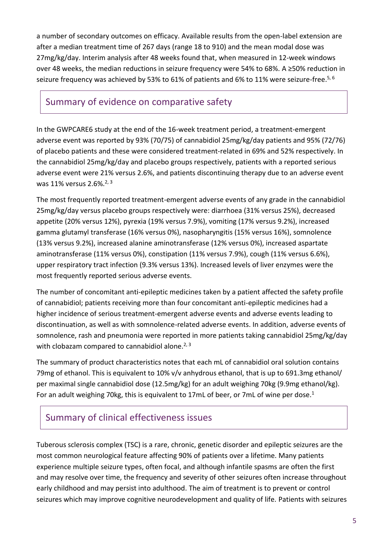a number of secondary outcomes on efficacy. Available results from the open-label extension are after a median treatment time of 267 days (range 18 to 910) and the mean modal dose was 27mg/kg/day. Interim analysis after 48 weeks found that, when measured in 12-week windows over 48 weeks, the median reductions in seizure frequency were 54% to 68%. A ≥50% reduction in seizure frequency was achieved by 53% to 61% of patients and 6% to 11% were seizure-free.<sup>5, 6</sup>

### Summary of evidence on comparative safety

In the GWPCARE6 study at the end of the 16-week treatment period, a treatment-emergent adverse event was reported by 93% (70/75) of cannabidiol 25mg/kg/day patients and 95% (72/76) of placebo patients and these were considered treatment-related in 69% and 52% respectively. In the cannabidiol 25mg/kg/day and placebo groups respectively, patients with a reported serious adverse event were 21% versus 2.6%, and patients discontinuing therapy due to an adverse event was 11% versus 2.6%. $2,3$ 

The most frequently reported treatment-emergent adverse events of any grade in the cannabidiol 25mg/kg/day versus placebo groups respectively were: diarrhoea (31% versus 25%), decreased appetite (20% versus 12%), pyrexia (19% versus 7.9%), vomiting (17% versus 9.2%), increased gamma glutamyl transferase (16% versus 0%), nasopharyngitis (15% versus 16%), somnolence (13% versus 9.2%), increased alanine aminotransferase (12% versus 0%), increased aspartate aminotransferase (11% versus 0%), constipation (11% versus 7.9%), cough (11% versus 6.6%), upper respiratory tract infection (9.3% versus 13%). Increased levels of liver enzymes were the most frequently reported serious adverse events.

The number of concomitant anti-epileptic medicines taken by a patient affected the safety profile of cannabidiol; patients receiving more than four concomitant anti-epileptic medicines had a higher incidence of serious treatment-emergent adverse events and adverse events leading to discontinuation, as well as with somnolence-related adverse events. In addition, adverse events of somnolence, rash and pneumonia were reported in more patients taking cannabidiol 25mg/kg/day with clobazam compared to cannabidiol alone.<sup>2, 3</sup>

The summary of product characteristics notes that each mL of cannabidiol oral solution contains 79mg of ethanol. This is equivalent to 10% v/v anhydrous ethanol, that is up to 691.3mg ethanol/ per maximal single cannabidiol dose (12.5mg/kg) for an adult weighing 70kg (9.9mg ethanol/kg). For an adult weighing 70kg, this is equivalent to 17mL of beer, or 7mL of wine per dose.<sup>1</sup>

# Summary of clinical effectiveness issues

Tuberous sclerosis complex (TSC) is a rare, chronic, genetic disorder and epileptic seizures are the most common neurological feature affecting 90% of patients over a lifetime. Many patients experience multiple seizure types, often focal, and although infantile spasms are often the first and may resolve over time, the frequency and severity of other seizures often increase throughout early childhood and may persist into adulthood. The aim of treatment is to prevent or control seizures which may improve cognitive neurodevelopment and quality of life. Patients with seizures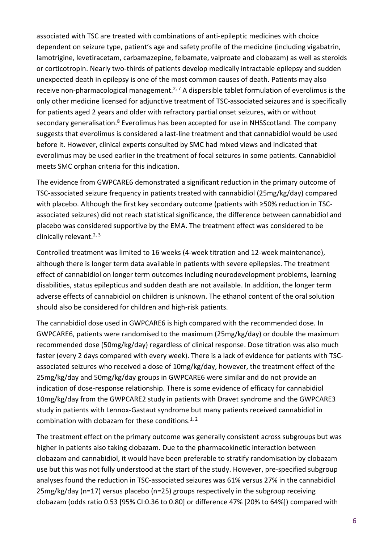associated with TSC are treated with combinations of anti-epileptic medicines with choice dependent on seizure type, patient's age and safety profile of the medicine (including vigabatrin, lamotrigine, levetiracetam, carbamazepine, felbamate, valproate and clobazam) as well as steroids or corticotropin. Nearly two-thirds of patients develop medically intractable epilepsy and sudden unexpected death in epilepsy is one of the most common causes of death. Patients may also receive non-pharmacological management.<sup>2, 7</sup> A dispersible tablet formulation of everolimus is the only other medicine licensed for adjunctive treatment of TSC-associated seizures and is specifically for patients aged 2 years and older with refractory partial onset seizures, with or without secondary generalisation.<sup>8</sup> Everolimus has been accepted for use in NHSScotland. The company suggests that everolimus is considered a last-line treatment and that cannabidiol would be used before it. However, clinical experts consulted by SMC had mixed views and indicated that everolimus may be used earlier in the treatment of focal seizures in some patients. Cannabidiol meets SMC orphan criteria for this indication.

The evidence from GWPCARE6 demonstrated a significant reduction in the primary outcome of TSC-associated seizure frequency in patients treated with cannabidiol (25mg/kg/day) compared with placebo. Although the first key secondary outcome (patients with ≥50% reduction in TSCassociated seizures) did not reach statistical significance, the difference between cannabidiol and placebo was considered supportive by the EMA. The treatment effect was considered to be clinically relevant. $2,3$ 

Controlled treatment was limited to 16 weeks (4-week titration and 12-week maintenance), although there is longer term data available in patients with severe epilepsies. The treatment effect of cannabidiol on longer term outcomes including neurodevelopment problems, learning disabilities, status epilepticus and sudden death are not available. In addition, the longer term adverse effects of cannabidiol on children is unknown. The ethanol content of the oral solution should also be considered for children and high-risk patients.

The cannabidiol dose used in GWPCARE6 is high compared with the recommended dose. In GWPCARE6, patients were randomised to the maximum (25mg/kg/day) or double the maximum recommended dose (50mg/kg/day) regardless of clinical response. Dose titration was also much faster (every 2 days compared with every week). There is a lack of evidence for patients with TSCassociated seizures who received a dose of 10mg/kg/day, however, the treatment effect of the 25mg/kg/day and 50mg/kg/day groups in GWPCARE6 were similar and do not provide an indication of dose-response relationship. There is some evidence of efficacy for cannabidiol 10mg/kg/day from the GWPCARE2 study in patients with Dravet syndrome and the GWPCARE3 study in patients with Lennox-Gastaut syndrome but many patients received cannabidiol in combination with clobazam for these conditions. $1, 2$ 

The treatment effect on the primary outcome was generally consistent across subgroups but was higher in patients also taking clobazam. Due to the pharmacokinetic interaction between clobazam and cannabidiol, it would have been preferable to stratify randomisation by clobazam use but this was not fully understood at the start of the study. However, pre-specified subgroup analyses found the reduction in TSC-associated seizures was 61% versus 27% in the cannabidiol 25mg/kg/day (n=17) versus placebo (n=25) groups respectively in the subgroup receiving clobazam (odds ratio 0.53 [95% CI:0.36 to 0.80] or difference 47% [20% to 64%]) compared with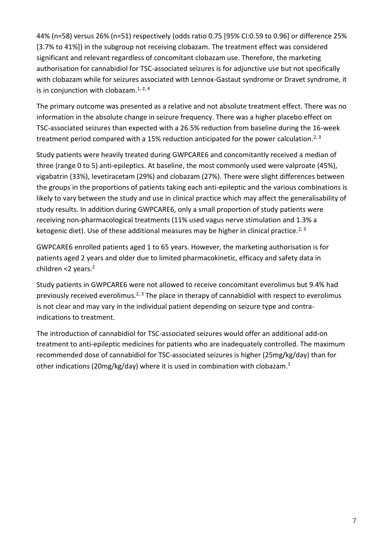44% (n=58) versus 26% (n=51) respectively (odds ratio 0.75 [95% CI:0.59 to 0.96] or difference 25% [3.7% to 41%]) in the subgroup not receiving clobazam. The treatment effect was considered significant and relevant regardless of concomitant clobazam use. Therefore, the marketing authorisation for cannabidiol for TSC-associated seizures is for adjunctive use but not specifically with clobazam while for seizures associated with Lennox-Gastaut syndrome or Dravet syndrome, it is in conjunction with clobazam.<sup>1, 2, 4</sup>

The primary outcome was presented as a relative and not absolute treatment effect. There was no information in the absolute change in seizure frequency. There was a higher placebo effect on TSC-associated seizures than expected with a 26.5% reduction from baseline during the 16-week treatment period compared with a 15% reduction anticipated for the power calculation.<sup>2, 3</sup>

Study patients were heavily treated during GWPCARE6 and concomitantly received a median of three (range 0 to 5) anti-epileptics. At baseline, the most commonly used were valproate (45%), vigabatrin (33%), levetiracetam (29%) and clobazam (27%). There were slight differences between the groups in the proportions of patients taking each anti-epileptic and the various combinations is likely to vary between the study and use in clinical practice which may affect the generalisability of study results. In addition during GWPCARE6, only a small proportion of study patients were receiving non-pharmacological treatments (11% used vagus nerve stimulation and 1.3% a ketogenic diet). Use of these additional measures may be higher in clinical practice.<sup>2, 3</sup>

GWPCARE6 enrolled patients aged 1 to 65 years. However, the marketing authorisation is for patients aged 2 years and older due to limited pharmacokinetic, efficacy and safety data in children  $<$ 2 years. $<sup>2</sup>$ </sup>

Study patients in GWPCARE6 were not allowed to receive concomitant everolimus but 9.4% had previously received everolimus.<sup>2, 3</sup> The place in therapy of cannabidiol with respect to everolimus is not clear and may vary in the individual patient depending on seizure type and contraindications to treatment.

The introduction of cannabidiol for TSC-associated seizures would offer an additional add-on treatment to anti-epileptic medicines for patients who are inadequately controlled. The maximum recommended dose of cannabidiol for TSC-associated seizures is higher (25mg/kg/day) than for other indications (20mg/kg/day) where it is used in combination with clobazam.<sup>1</sup>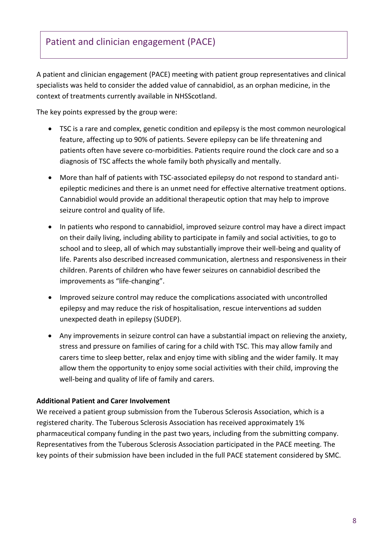A patient and clinician engagement (PACE) meeting with patient group representatives and clinical specialists was held to consider the added value of cannabidiol, as an orphan medicine, in the context of treatments currently available in NHSScotland.

The key points expressed by the group were:

- TSC is a rare and complex, genetic condition and epilepsy is the most common neurological feature, affecting up to 90% of patients. Severe epilepsy can be life threatening and patients often have severe co-morbidities. Patients require round the clock care and so a diagnosis of TSC affects the whole family both physically and mentally.
- More than half of patients with TSC-associated epilepsy do not respond to standard antiepileptic medicines and there is an unmet need for effective alternative treatment options. Cannabidiol would provide an additional therapeutic option that may help to improve seizure control and quality of life.
- In patients who respond to cannabidiol, improved seizure control may have a direct impact on their daily living, including ability to participate in family and social activities, to go to school and to sleep, all of which may substantially improve their well-being and quality of life. Parents also described increased communication, alertness and responsiveness in their children. Parents of children who have fewer seizures on cannabidiol described the improvements as "life-changing".
- Improved seizure control may reduce the complications associated with uncontrolled epilepsy and may reduce the risk of hospitalisation, rescue interventions ad sudden unexpected death in epilepsy (SUDEP).
- Any improvements in seizure control can have a substantial impact on relieving the anxiety, stress and pressure on families of caring for a child with TSC. This may allow family and carers time to sleep better, relax and enjoy time with sibling and the wider family. It may allow them the opportunity to enjoy some social activities with their child, improving the well-being and quality of life of family and carers.

#### **Additional Patient and Carer Involvement**

We received a patient group submission from the Tuberous Sclerosis Association, which is a registered charity. The Tuberous Sclerosis Association has received approximately 1% pharmaceutical company funding in the past two years, including from the submitting company. Representatives from the Tuberous Sclerosis Association participated in the PACE meeting. The key points of their submission have been included in the full PACE statement considered by SMC.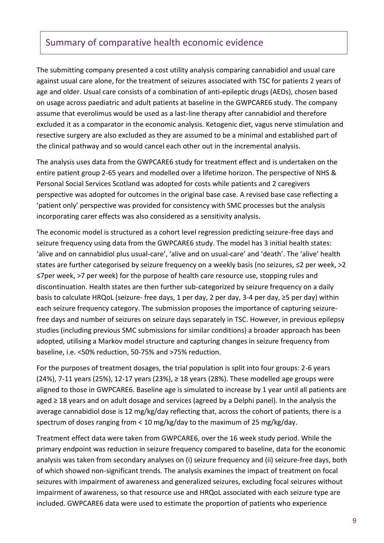### Summary of comparative health economic evidence

The submitting company presented a cost utility analysis comparing cannabidiol and usual care against usual care alone, for the treatment of seizures associated with TSC for patients 2 years of age and older. Usual care consists of a combination of anti-epileptic drugs (AEDs), chosen based on usage across paediatric and adult patients at baseline in the GWPCARE6 study. The company assume that everolimus would be used as a last-line therapy after cannabidiol and therefore excluded it as a comparator in the economic analysis. Ketogenic diet, vagus nerve stimulation and resective surgery are also excluded as they are assumed to be a minimal and established part of the clinical pathway and so would cancel each other out in the incremental analysis.

The analysis uses data from the GWPCARE6 study for treatment effect and is undertaken on the entire patient group 2-65 years and modelled over a lifetime horizon. The perspective of NHS & Personal Social Services Scotland was adopted for costs while patients and 2 caregivers perspective was adopted for outcomes in the original base case. A revised base case reflecting a 'patient only' perspective was provided for consistency with SMC processes but the analysis incorporating carer effects was also considered as a sensitivity analysis.

The economic model is structured as a cohort level regression predicting seizure-free days and seizure frequency using data from the GWPCARE6 study. The model has 3 initial health states: 'alive and on cannabidiol plus usual-care', 'alive and on usual-care' and 'death'. The 'alive' health states are further categorised by seizure frequency on a weekly basis (no seizures, ≤2 per week, >2 ≤7per week, >7 per week) for the purpose of health care resource use, stopping rules and discontinuation. Health states are then further sub-categorized by seizure frequency on a daily basis to calculate HRQoL (seizure- free days, 1 per day, 2 per day, 3-4 per day, ≥5 per day) within each seizure frequency category. The submission proposes the importance of capturing seizurefree days and number of seizures on seizure days separately in TSC. However, in previous epilepsy studies (including previous SMC submissions for similar conditions) a broader approach has been adopted, utilising a Markov model structure and capturing changes in seizure frequency from baseline, i.e. <50% reduction, 50-75% and >75% reduction.

For the purposes of treatment dosages, the trial population is split into four groups: 2-6 years (24%), 7-11 years (25%), 12-17 years (23%), ≥ 18 years (28%). These modelled age groups were aligned to those in GWPCARE6. Baseline age is simulated to increase by 1 year until all patients are aged ≥ 18 years and on adult dosage and services (agreed by a Delphi panel). In the analysis the average cannabidiol dose is 12 mg/kg/day reflecting that, across the cohort of patients, there is a spectrum of doses ranging from < 10 mg/kg/day to the maximum of 25 mg/kg/day.

Treatment effect data were taken from GWPCARE6, over the 16 week study period. While the primary endpoint was reduction in seizure frequency compared to baseline, data for the economic analysis was taken from secondary analyses on (i) seizure frequency and (ii) seizure-free days, both of which showed non-significant trends. The analysis examines the impact of treatment on focal seizures with impairment of awareness and generalized seizures, excluding focal seizures without impairment of awareness, so that resource use and HRQoL associated with each seizure type are included. GWPCARE6 data were used to estimate the proportion of patients who experience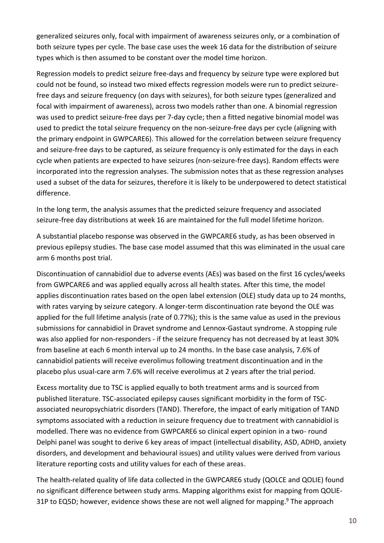generalized seizures only, focal with impairment of awareness seizures only, or a combination of both seizure types per cycle. The base case uses the week 16 data for the distribution of seizure types which is then assumed to be constant over the model time horizon.

Regression models to predict seizure free-days and frequency by seizure type were explored but could not be found, so instead two mixed effects regression models were run to predict seizurefree days and seizure frequency (on days with seizures), for both seizure types (generalized and focal with impairment of awareness), across two models rather than one. A binomial regression was used to predict seizure-free days per 7-day cycle; then a fitted negative binomial model was used to predict the total seizure frequency on the non-seizure-free days per cycle (aligning with the primary endpoint in GWPCARE6). This allowed for the correlation between seizure frequency and seizure-free days to be captured, as seizure frequency is only estimated for the days in each cycle when patients are expected to have seizures (non-seizure-free days). Random effects were incorporated into the regression analyses. The submission notes that as these regression analyses used a subset of the data for seizures, therefore it is likely to be underpowered to detect statistical difference.

In the long term, the analysis assumes that the predicted seizure frequency and associated seizure-free day distributions at week 16 are maintained for the full model lifetime horizon.

A substantial placebo response was observed in the GWPCARE6 study, as has been observed in previous epilepsy studies. The base case model assumed that this was eliminated in the usual care arm 6 months post trial.

Discontinuation of cannabidiol due to adverse events (AEs) was based on the first 16 cycles/weeks from GWPCARE6 and was applied equally across all health states. After this time, the model applies discontinuation rates based on the open label extension (OLE) study data up to 24 months, with rates varying by seizure category. A longer-term discontinuation rate beyond the OLE was applied for the full lifetime analysis (rate of 0.77%); this is the same value as used in the previous submissions for cannabidiol in Dravet syndrome and Lennox-Gastaut syndrome. A stopping rule was also applied for non-responders - if the seizure frequency has not decreased by at least 30% from baseline at each 6 month interval up to 24 months. In the base case analysis, 7.6% of cannabidiol patients will receive everolimus following treatment discontinuation and in the placebo plus usual-care arm 7.6% will receive everolimus at 2 years after the trial period.

Excess mortality due to TSC is applied equally to both treatment arms and is sourced from published literature. TSC-associated epilepsy causes significant morbidity in the form of TSCassociated neuropsychiatric disorders (TAND). Therefore, the impact of early mitigation of TAND symptoms associated with a reduction in seizure frequency due to treatment with cannabidiol is modelled. There was no evidence from GWPCARE6 so clinical expert opinion in a two- round Delphi panel was sought to derive 6 key areas of impact (intellectual disability, ASD, ADHD, anxiety disorders, and development and behavioural issues) and utility values were derived from various literature reporting costs and utility values for each of these areas.

The health-related quality of life data collected in the GWPCARE6 study (QOLCE and QOLIE) found no significant difference between study arms. Mapping algorithms exist for mapping from QOLIE-31P to EQ5D; however, evidence shows these are not well aligned for mapping.<sup>9</sup> The approach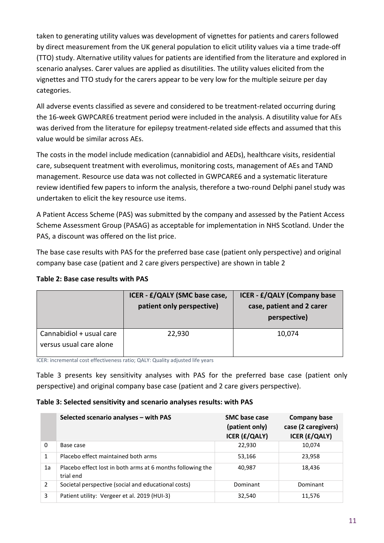taken to generating utility values was development of vignettes for patients and carers followed by direct measurement from the UK general population to elicit utility values via a time trade-off (TTO) study. Alternative utility values for patients are identified from the literature and explored in scenario analyses. Carer values are applied as disutilities. The utility values elicited from the vignettes and TTO study for the carers appear to be very low for the multiple seizure per day categories.

All adverse events classified as severe and considered to be treatment-related occurring during the 16-week GWPCARE6 treatment period were included in the analysis. A disutility value for AEs was derived from the literature for epilepsy treatment-related side effects and assumed that this value would be similar across AEs.

The costs in the model include medication (cannabidiol and AEDs), healthcare visits, residential care, subsequent treatment with everolimus, monitoring costs, management of AEs and TAND management. Resource use data was not collected in GWPCARE6 and a systematic literature review identified few papers to inform the analysis, therefore a two-round Delphi panel study was undertaken to elicit the key resource use items.

A Patient Access Scheme (PAS) was submitted by the company and assessed by the Patient Access Scheme Assessment Group (PASAG) as acceptable for implementation in NHS Scotland. Under the PAS, a discount was offered on the list price.

The base case results with PAS for the preferred base case (patient only perspective) and original company base case (patient and 2 care givers perspective) are shown in table 2

|  |  | Table 2: Base case results with PAS |  |
|--|--|-------------------------------------|--|
|  |  |                                     |  |

|                                                     | ICER - £/QALY (SMC base case,<br>patient only perspective) | <b>ICER - £/QALY (Company base</b><br>case, patient and 2 carer<br>perspective) |
|-----------------------------------------------------|------------------------------------------------------------|---------------------------------------------------------------------------------|
| Cannabidiol + usual care<br>versus usual care alone | 22,930                                                     | 10,074                                                                          |

ICER: incremental cost effectiveness ratio; QALY: Quality adjusted life years

Table 3 presents key sensitivity analyses with PAS for the preferred base case (patient only perspective) and original company base case (patient and 2 care givers perspective).

#### **Table 3: Selected sensitivity and scenario analyses results: with PAS**

|    | Selected scenario analyses - with PAS                                   | <b>SMC</b> base case<br>(patient only)<br><b>ICER (£/QALY)</b> | <b>Company base</b><br>case (2 caregivers)<br><b>ICER (£/QALY)</b> |
|----|-------------------------------------------------------------------------|----------------------------------------------------------------|--------------------------------------------------------------------|
| 0  | Base case                                                               | 22,930                                                         | 10,074                                                             |
|    | Placebo effect maintained both arms                                     | 53,166                                                         | 23,958                                                             |
| 1a | Placebo effect lost in both arms at 6 months following the<br>trial end | 40.987                                                         | 18,436                                                             |
| 2  | Societal perspective (social and educational costs)                     | Dominant                                                       | Dominant                                                           |
| 3  | Patient utility: Vergeer et al. 2019 (HUI-3)                            | 32,540                                                         | 11,576                                                             |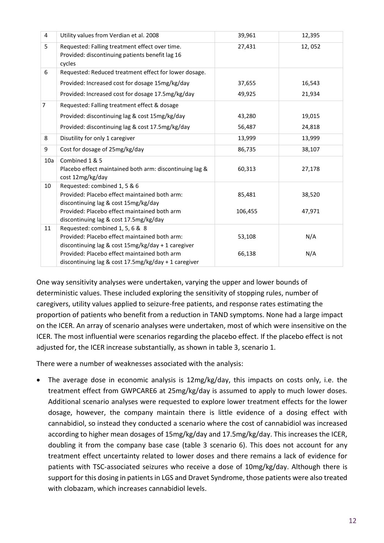| 4              | Utility values from Verdian et al. 2008                                                                                                                                                                                                        | 39,961            | 12,395           |
|----------------|------------------------------------------------------------------------------------------------------------------------------------------------------------------------------------------------------------------------------------------------|-------------------|------------------|
| 5              | Requested: Falling treatment effect over time.<br>Provided: discontinuing patients benefit lag 16<br>cycles                                                                                                                                    | 27,431            | 12,052           |
| 6              | Requested: Reduced treatment effect for lower dosage.                                                                                                                                                                                          |                   |                  |
|                | Provided: Increased cost for dosage 15mg/kg/day                                                                                                                                                                                                | 37,655            | 16,543           |
|                | Provided: Increased cost for dosage 17.5mg/kg/day                                                                                                                                                                                              | 49,925            | 21,934           |
| $\overline{7}$ | Requested: Falling treatment effect & dosage                                                                                                                                                                                                   |                   |                  |
|                | Provided: discontinuing lag & cost 15mg/kg/day                                                                                                                                                                                                 | 43,280            | 19,015           |
|                | Provided: discontinuing lag & cost 17.5mg/kg/day                                                                                                                                                                                               | 56,487            | 24,818           |
| 8              | Disutility for only 1 caregiver                                                                                                                                                                                                                | 13,999            | 13,999           |
| 9              | Cost for dosage of 25mg/kg/day                                                                                                                                                                                                                 | 86,735            | 38,107           |
| 10a            | Combined 1 & 5<br>Placebo effect maintained both arm: discontinuing lag &<br>cost 12mg/kg/day                                                                                                                                                  | 60,313            | 27,178           |
| 10             | Requested: combined 1, 5 & 6<br>Provided: Placebo effect maintained both arm:<br>discontinuing lag & cost 15mg/kg/day<br>Provided: Placebo effect maintained both arm<br>discontinuing lag & cost 17.5mg/kg/day                                | 85,481<br>106,455 | 38,520<br>47,971 |
| 11             | Requested: combined 1, 5, 6 & 8<br>Provided: Placebo effect maintained both arm:<br>discontinuing lag & cost 15mg/kg/day + 1 caregiver<br>Provided: Placebo effect maintained both arm<br>discontinuing lag & cost 17.5mg/kg/day + 1 caregiver | 53,108<br>66,138  | N/A<br>N/A       |

One way sensitivity analyses were undertaken, varying the upper and lower bounds of deterministic values. These included exploring the sensitivity of stopping rules, number of caregivers, utility values applied to seizure-free patients, and response rates estimating the proportion of patients who benefit from a reduction in TAND symptoms. None had a large impact on the ICER. An array of scenario analyses were undertaken, most of which were insensitive on the ICER. The most influential were scenarios regarding the placebo effect. If the placebo effect is not adjusted for, the ICER increase substantially, as shown in table 3, scenario 1.

There were a number of weaknesses associated with the analysis:

 The average dose in economic analysis is 12mg/kg/day, this impacts on costs only, i.e. the treatment effect from GWPCARE6 at 25mg/kg/day is assumed to apply to much lower doses. Additional scenario analyses were requested to explore lower treatment effects for the lower dosage, however, the company maintain there is little evidence of a dosing effect with cannabidiol, so instead they conducted a scenario where the cost of cannabidiol was increased according to higher mean dosages of 15mg/kg/day and 17.5mg/kg/day. This increases the ICER, doubling it from the company base case (table 3 scenario 6). This does not account for any treatment effect uncertainty related to lower doses and there remains a lack of evidence for patients with TSC-associated seizures who receive a dose of 10mg/kg/day. Although there is support for this dosing in patients in LGS and Dravet Syndrome, those patients were also treated with clobazam, which increases cannabidiol levels.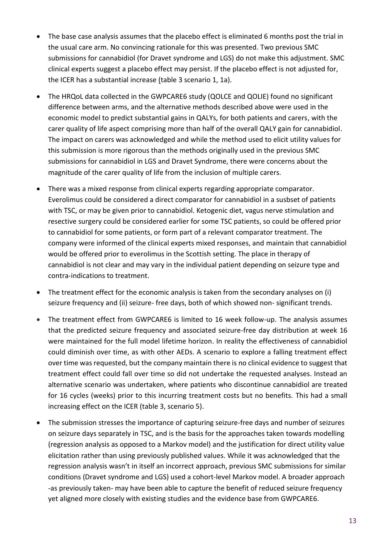- The base case analysis assumes that the placebo effect is eliminated 6 months post the trial in the usual care arm. No convincing rationale for this was presented. Two previous SMC submissions for cannabidiol (for Dravet syndrome and LGS) do not make this adjustment. SMC clinical experts suggest a placebo effect may persist. If the placebo effect is not adjusted for, the ICER has a substantial increase (table 3 scenario 1, 1a).
- The HRQoL data collected in the GWPCARE6 study (QOLCE and QOLIE) found no significant difference between arms, and the alternative methods described above were used in the economic model to predict substantial gains in QALYs, for both patients and carers, with the carer quality of life aspect comprising more than half of the overall QALY gain for cannabidiol. The impact on carers was acknowledged and while the method used to elicit utility values for this submission is more rigorous than the methods originally used in the previous SMC submissions for cannabidiol in LGS and Dravet Syndrome, there were concerns about the magnitude of the carer quality of life from the inclusion of multiple carers.
- There was a mixed response from clinical experts regarding appropriate comparator. Everolimus could be considered a direct comparator for cannabidiol in a susbset of patients with TSC, or may be given prior to cannabidiol. Ketogenic diet, vagus nerve stimulation and resective surgery could be considered earlier for some TSC patients, so could be offered prior to cannabidiol for some patients, or form part of a relevant comparator treatment. The company were informed of the clinical experts mixed responses, and maintain that cannabidiol would be offered prior to everolimus in the Scottish setting. The place in therapy of cannabidiol is not clear and may vary in the individual patient depending on seizure type and contra-indications to treatment.
- The treatment effect for the economic analysis is taken from the secondary analyses on (i) seizure frequency and (ii) seizure- free days, both of which showed non- significant trends.
- The treatment effect from GWPCARE6 is limited to 16 week follow-up. The analysis assumes that the predicted seizure frequency and associated seizure-free day distribution at week 16 were maintained for the full model lifetime horizon. In reality the effectiveness of cannabidiol could diminish over time, as with other AEDs. A scenario to explore a falling treatment effect over time was requested, but the company maintain there is no clinical evidence to suggest that treatment effect could fall over time so did not undertake the requested analyses. Instead an alternative scenario was undertaken, where patients who discontinue cannabidiol are treated for 16 cycles (weeks) prior to this incurring treatment costs but no benefits. This had a small increasing effect on the ICER (table 3, scenario 5).
- The submission stresses the importance of capturing seizure-free days and number of seizures on seizure days separately in TSC, and is the basis for the approaches taken towards modelling (regression analysis as opposed to a Markov model) and the justification for direct utility value elicitation rather than using previously published values. While it was acknowledged that the regression analysis wasn't in itself an incorrect approach, previous SMC submissions for similar conditions (Dravet syndrome and LGS) used a cohort-level Markov model. A broader approach -as previously taken- may have been able to capture the benefit of reduced seizure frequency yet aligned more closely with existing studies and the evidence base from GWPCARE6.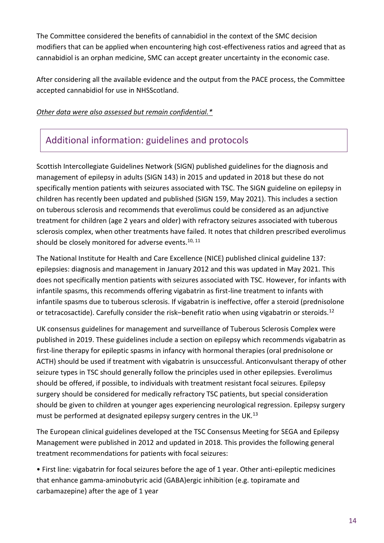The Committee considered the benefits of cannabidiol in the context of the SMC decision modifiers that can be applied when encountering high cost-effectiveness ratios and agreed that as cannabidiol is an orphan medicine, SMC can accept greater uncertainty in the economic case.

After considering all the available evidence and the output from the PACE process, the Committee accepted cannabidiol for use in NHSScotland.

#### *Other data were also assessed but remain confidential.\**

## Additional information: guidelines and protocols

Scottish Intercollegiate Guidelines Network (SIGN) published guidelines for the diagnosis and management of epilepsy in adults (SIGN 143) in 2015 and updated in 2018 but these do not specifically mention patients with seizures associated with TSC. The SIGN guideline on epilepsy in children has recently been updated and published (SIGN 159, May 2021). This includes a section on tuberous sclerosis and recommends that everolimus could be considered as an adjunctive treatment for children (age 2 years and older) with refractory seizures associated with tuberous sclerosis complex, when other treatments have failed. It notes that children prescribed everolimus should be closely monitored for adverse events.<sup>10, 11</sup>

The National Institute for Health and Care Excellence (NICE) published clinical guideline 137: epilepsies: diagnosis and management in January 2012 and this was updated in May 2021. This does not specifically mention patients with seizures associated with TSC. However, for infants with infantile spasms, this recommends offering vigabatrin as first-line treatment to infants with infantile spasms due to tuberous sclerosis. If vigabatrin is ineffective, offer a steroid (prednisolone or tetracosactide). Carefully consider the risk–benefit ratio when using vigabatrin or steroids.<sup>12</sup>

UK consensus guidelines for management and surveillance of Tuberous Sclerosis Complex were published in 2019. These guidelines include a section on epilepsy which recommends vigabatrin as first-line therapy for epileptic spasms in infancy with hormonal therapies (oral prednisolone or ACTH) should be used if treatment with vigabatrin is unsuccessful. Anticonvulsant therapy of other seizure types in TSC should generally follow the principles used in other epilepsies. Everolimus should be offered, if possible, to individuals with treatment resistant focal seizures. Epilepsy surgery should be considered for medically refractory TSC patients, but special consideration should be given to children at younger ages experiencing neurological regression. Epilepsy surgery must be performed at designated epilepsy surgery centres in the UK.<sup>13</sup>

The European clinical guidelines developed at the TSC Consensus Meeting for SEGA and Epilepsy Management were published in 2012 and updated in 2018. This provides the following general treatment recommendations for patients with focal seizures:

• First line: vigabatrin for focal seizures before the age of 1 year. Other anti-epileptic medicines that enhance gamma-aminobutyric acid (GABA)ergic inhibition (e.g. topiramate and carbamazepine) after the age of 1 year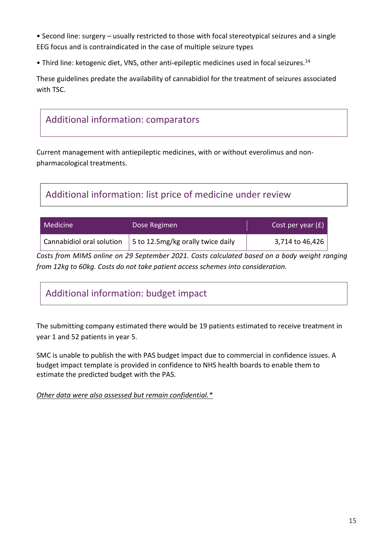• Second line: surgery – usually restricted to those with focal stereotypical seizures and a single EEG focus and is contraindicated in the case of multiple seizure types

• Third line: ketogenic diet, VNS, other anti-epileptic medicines used in focal seizures.<sup>14</sup>

These guidelines predate the availability of cannabidiol for the treatment of seizures associated with TSC.



Current management with antiepileptic medicines, with or without everolimus and nonpharmacological treatments.

# Additional information: list price of medicine under review

| <b>Medicine</b> | Dose Regimen                                                       | Cost per year $(f)$         |
|-----------------|--------------------------------------------------------------------|-----------------------------|
|                 | Cannabidiol oral solution $\mid$ 5 to 12.5mg/kg orally twice daily | 3,714 to 46,426 $\parallel$ |

*Costs from MIMS online on 29 September 2021. Costs calculated based on a body weight ranging from 12kg to 60kg. Costs do not take patient access schemes into consideration.*

# Additional information: budget impact

The submitting company estimated there would be 19 patients estimated to receive treatment in year 1 and 52 patients in year 5.

SMC is unable to publish the with PAS budget impact due to commercial in confidence issues. A budget impact template is provided in confidence to NHS health boards to enable them to estimate the predicted budget with the PAS.

*Other data were also assessed but remain confidential.\**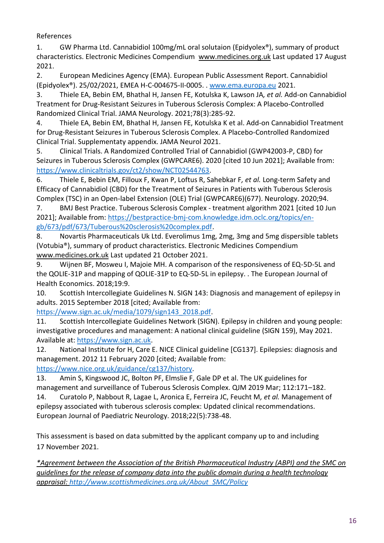#### References

1. GW Pharma Ltd. Cannabidiol 100mg/mL oral solutaion (Epidyolex®), summary of product characteristics. Electronic Medicines Compendium [www.medicines.org.uk](file:///C:/Users/moiram/Documents/Cannabidiol/Peer%20review/www.medicines.org.uk) Last updated 17 August 2021.

2. European Medicines Agency (EMA). European Public Assessment Report. Cannabidiol (Epidyolex®). 25/02/2021, EMEA H-C-004675-II-0005. . [www.ema.europa.eu](file://///hisldata03/share/SMC/Subs/2021/cannabidiol%20(Epidyolex)%20TSC%20with%20PAS%202402/NDC%20RECOMMENDATION/www.ema.europa.eu) 2021.

3. Thiele EA, Bebin EM, Bhathal H, Jansen FE, Kotulska K, Lawson JA*, et al.* Add-on Cannabidiol Treatment for Drug-Resistant Seizures in Tuberous Sclerosis Complex: A Placebo-Controlled Randomized Clinical Trial. JAMA Neurology. 2021;78(3):285-92.

4. Thiele EA, Bebin EM, Bhathal H, Jansen FE, Kotulska K et al. Add-on Cannabidiol Treatment for Drug-Resistant Seizures in Tuberous Sclerosis Complex. A Placebo-Controlled Randomized Clinical Trial. Supplementaty appendix. JAMA Neurol 2021.

5. Clinical Trials. A Randomized Controlled Trial of Cannabidiol (GWP42003-P, CBD) for Seizures in Tuberous Sclerosis Complex (GWPCARE6). 2020 [cited 10 Jun 2021]; Available from: [https://www.clinicaltrials.gov/ct2/show/NCT02544763.](https://www.clinicaltrials.gov/ct2/show/NCT02544763)

6. Thiele E, Bebin EM, Filloux F, Kwan P, Loftus R, Sahebkar F*, et al.* Long-term Safety and Efficacy of Cannabidiol (CBD) for the Treatment of Seizures in Patients with Tuberous Sclerosis Complex (TSC) in an Open-label Extension (OLE) Trial (GWPCARE6)(677). Neurology. 2020;94.

7. BMJ Best Practice. Tuberous Sclerosis Complex - treatment algorithm 2021 [cited 10 Jun 2021]; Available from: [https://bestpractice-bmj-com.knowledge.idm.oclc.org/topics/en](https://bestpractice-bmj-com.knowledge.idm.oclc.org/topics/en-gb/673/pdf/673/Tuberous%20sclerosis%20complex.pdf)[gb/673/pdf/673/Tuberous%20sclerosis%20complex.pdf.](https://bestpractice-bmj-com.knowledge.idm.oclc.org/topics/en-gb/673/pdf/673/Tuberous%20sclerosis%20complex.pdf)

8. Novartis Pharmaceuticals Uk Ltd. Everolimus 1mg, 2mg, 3mg and 5mg dispersible tablets (Votubia®), summary of product characteristics. Electronic Medicines Compendium [www.medicines.ork.uk](http://www.medicines.ork.uk/) Last updated 21 October 2021.

9. Wijnen BF, Mosweu I, Majoie MH. A comparison of the responsiveness of EQ-5D-5L and the QOLIE-31P and mapping of QOLIE-31P to EQ-5D-5L in epilepsy. . The European Journal of Health Economics. 2018;19:9.

10. Scottish Intercollegiate Guidelines N. SIGN 143: Diagnosis and management of epilepsy in adults. 2015 September 2018 [cited; Available from:

[https://www.sign.ac.uk/media/1079/sign143\\_2018.pdf.](https://www.sign.ac.uk/media/1079/sign143_2018.pdf)

11. Scottish Intercollegiate Guidelines Network (SIGN). Epilepsy in children and young people: investigative procedures and management: A national clinical guideline (SIGN 159), May 2021. Available at: [https://www.sign.ac.uk.](https://www.sign.ac.uk/)

12. National Institute for H, Care E. NICE Clinical guideline [CG137]. Epilepsies: diagnosis and management. 2012 11 February 2020 [cited; Available from:

[https://www.nice.org.uk/guidance/cg137/history.](https://www.nice.org.uk/guidance/cg137/history)

13. Amin S, Kingswood JC, Bolton PF, Elmslie F, Gale DP et al. The UK guidelines for management and surveillance of Tuberous Sclerosis Complex. QJM 2019 Mar; 112:171–182.

14. Curatolo P, Nabbout R, Lagae L, Aronica E, Ferreira JC, Feucht M*, et al.* Management of epilepsy associated with tuberous sclerosis complex: Updated clinical recommendations. European Journal of Paediatric Neurology. 2018;22(5):738-48.

This assessment is based on data submitted by the applicant company up to and including 17 November 2021.

*\*Agreement between the Association of the British Pharmaceutical Industry (ABPI) and the SMC on guidelines for the release of company data into the public domain during a health technology appraisal: [http://www.scottishmedicines.org.uk/About\\_SMC/Policy](http://www.scottishmedicines.org.uk/About_SMC/Policy)*